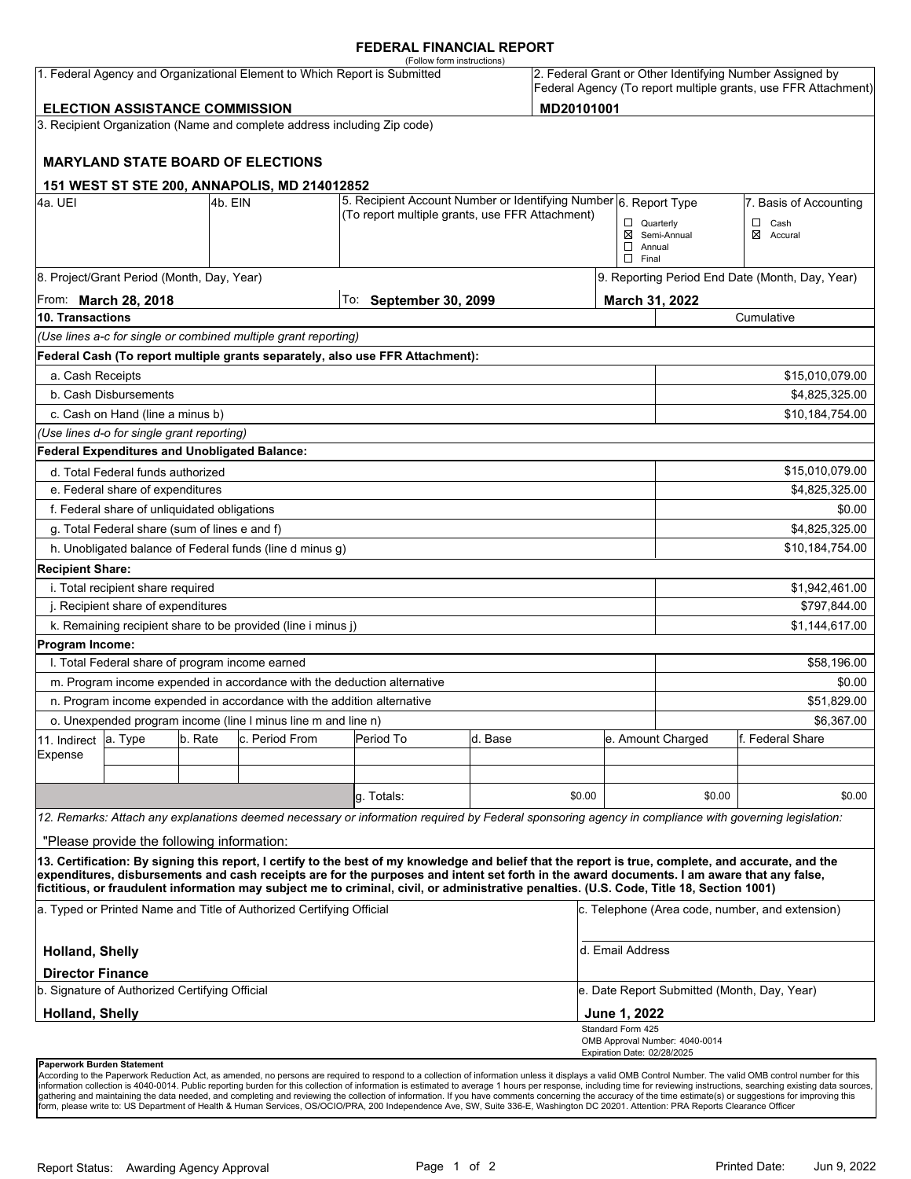### **FEDERAL FINANCIAL REPORT**

|                                                     |                                                                              |         | 1. Federal Agency and Organizational Element to Which Report is Submitted | (Follow form instructions)                                                                                                                                                                                                                                                                                                                                                                                                                      |         |        |                               |                                                 | 2. Federal Grant or Other Identifying Number Assigned by       |  |
|-----------------------------------------------------|------------------------------------------------------------------------------|---------|---------------------------------------------------------------------------|-------------------------------------------------------------------------------------------------------------------------------------------------------------------------------------------------------------------------------------------------------------------------------------------------------------------------------------------------------------------------------------------------------------------------------------------------|---------|--------|-------------------------------|-------------------------------------------------|----------------------------------------------------------------|--|
|                                                     |                                                                              |         |                                                                           |                                                                                                                                                                                                                                                                                                                                                                                                                                                 |         |        |                               |                                                 | Federal Agency (To report multiple grants, use FFR Attachment) |  |
| MD20101001<br><b>ELECTION ASSISTANCE COMMISSION</b> |                                                                              |         |                                                                           |                                                                                                                                                                                                                                                                                                                                                                                                                                                 |         |        |                               |                                                 |                                                                |  |
|                                                     |                                                                              |         | 3. Recipient Organization (Name and complete address including Zip code)  |                                                                                                                                                                                                                                                                                                                                                                                                                                                 |         |        |                               |                                                 |                                                                |  |
|                                                     |                                                                              |         | <b>MARYLAND STATE BOARD OF ELECTIONS</b>                                  |                                                                                                                                                                                                                                                                                                                                                                                                                                                 |         |        |                               |                                                 |                                                                |  |
|                                                     |                                                                              |         | 151 WEST ST STE 200, ANNAPOLIS, MD 214012852                              |                                                                                                                                                                                                                                                                                                                                                                                                                                                 |         |        |                               |                                                 |                                                                |  |
| 4a. UEI                                             | 5. Recipient Account Number or Identifying Number 6. Report Type<br>l4b. EIN |         |                                                                           |                                                                                                                                                                                                                                                                                                                                                                                                                                                 |         |        |                               | 7. Basis of Accounting                          |                                                                |  |
|                                                     |                                                                              |         |                                                                           | (To report multiple grants, use FFR Attachment)                                                                                                                                                                                                                                                                                                                                                                                                 |         |        | $\Box$ Quarterly              |                                                 | $\Box$ Cash                                                    |  |
|                                                     |                                                                              |         |                                                                           |                                                                                                                                                                                                                                                                                                                                                                                                                                                 |         |        | $\Box$ Annual<br>$\Box$ Final | ⊠ Semi-Annual                                   | ⊠ Accural                                                      |  |
|                                                     | 8. Project/Grant Period (Month, Day, Year)                                   |         |                                                                           |                                                                                                                                                                                                                                                                                                                                                                                                                                                 |         |        |                               | 9. Reporting Period End Date (Month, Day, Year) |                                                                |  |
| From: March 28, 2018                                |                                                                              |         |                                                                           | To:<br><b>September 30, 2099</b>                                                                                                                                                                                                                                                                                                                                                                                                                |         |        |                               | March 31, 2022                                  |                                                                |  |
| 10. Transactions                                    |                                                                              |         |                                                                           |                                                                                                                                                                                                                                                                                                                                                                                                                                                 |         |        |                               | Cumulative                                      |                                                                |  |
|                                                     |                                                                              |         | (Use lines a-c for single or combined multiple grant reporting)           |                                                                                                                                                                                                                                                                                                                                                                                                                                                 |         |        |                               |                                                 |                                                                |  |
|                                                     |                                                                              |         |                                                                           | Federal Cash (To report multiple grants separately, also use FFR Attachment):                                                                                                                                                                                                                                                                                                                                                                   |         |        |                               |                                                 |                                                                |  |
| a. Cash Receipts                                    |                                                                              |         |                                                                           |                                                                                                                                                                                                                                                                                                                                                                                                                                                 |         |        |                               |                                                 | \$15,010,079.00                                                |  |
|                                                     | b. Cash Disbursements                                                        |         |                                                                           |                                                                                                                                                                                                                                                                                                                                                                                                                                                 |         |        |                               |                                                 | \$4,825,325.00                                                 |  |
|                                                     | c. Cash on Hand (line a minus b)                                             |         |                                                                           |                                                                                                                                                                                                                                                                                                                                                                                                                                                 |         |        |                               |                                                 | \$10,184,754.00                                                |  |
|                                                     | (Use lines d-o for single grant reporting)                                   |         |                                                                           |                                                                                                                                                                                                                                                                                                                                                                                                                                                 |         |        |                               |                                                 |                                                                |  |
|                                                     | <b>Federal Expenditures and Unobligated Balance:</b>                         |         |                                                                           |                                                                                                                                                                                                                                                                                                                                                                                                                                                 |         |        |                               |                                                 |                                                                |  |
|                                                     | d. Total Federal funds authorized                                            |         |                                                                           |                                                                                                                                                                                                                                                                                                                                                                                                                                                 |         |        |                               |                                                 | \$15,010,079.00                                                |  |
| e. Federal share of expenditures                    |                                                                              |         |                                                                           |                                                                                                                                                                                                                                                                                                                                                                                                                                                 |         |        |                               |                                                 | \$4,825,325.00                                                 |  |
|                                                     | f. Federal share of unliquidated obligations                                 |         |                                                                           |                                                                                                                                                                                                                                                                                                                                                                                                                                                 |         |        |                               |                                                 | \$0.00                                                         |  |
|                                                     | g. Total Federal share (sum of lines e and f)                                |         |                                                                           |                                                                                                                                                                                                                                                                                                                                                                                                                                                 |         |        |                               |                                                 | \$4,825,325.00                                                 |  |
|                                                     |                                                                              |         | h. Unobligated balance of Federal funds (line d minus g)                  |                                                                                                                                                                                                                                                                                                                                                                                                                                                 |         |        |                               |                                                 | \$10,184,754.00                                                |  |
| <b>Recipient Share:</b>                             |                                                                              |         |                                                                           |                                                                                                                                                                                                                                                                                                                                                                                                                                                 |         |        |                               |                                                 |                                                                |  |
|                                                     | i. Total recipient share required                                            |         |                                                                           |                                                                                                                                                                                                                                                                                                                                                                                                                                                 |         |        |                               |                                                 | \$1,942,461.00                                                 |  |
|                                                     | j. Recipient share of expenditures                                           |         |                                                                           |                                                                                                                                                                                                                                                                                                                                                                                                                                                 |         |        | \$797,844.00                  |                                                 |                                                                |  |
|                                                     |                                                                              |         | k. Remaining recipient share to be provided (line i minus j)              |                                                                                                                                                                                                                                                                                                                                                                                                                                                 |         |        |                               |                                                 | \$1,144,617.00                                                 |  |
| Program Income:                                     |                                                                              |         |                                                                           |                                                                                                                                                                                                                                                                                                                                                                                                                                                 |         |        |                               |                                                 |                                                                |  |
|                                                     | I. Total Federal share of program income earned                              |         |                                                                           |                                                                                                                                                                                                                                                                                                                                                                                                                                                 |         |        |                               |                                                 | \$58,196.00                                                    |  |
|                                                     |                                                                              |         | m. Program income expended in accordance with the deduction alternative   |                                                                                                                                                                                                                                                                                                                                                                                                                                                 |         |        |                               |                                                 | \$0.00                                                         |  |
|                                                     |                                                                              |         | n. Program income expended in accordance with the addition alternative    |                                                                                                                                                                                                                                                                                                                                                                                                                                                 |         |        |                               |                                                 | \$51,829.00                                                    |  |
|                                                     |                                                                              |         | o. Unexpended program income (line I minus line m and line n)             |                                                                                                                                                                                                                                                                                                                                                                                                                                                 |         |        |                               |                                                 | \$6.367.00                                                     |  |
| 11. Indirect                                        | a. Type                                                                      | b. Rate | c. Period From                                                            | Period To                                                                                                                                                                                                                                                                                                                                                                                                                                       | d. Base |        |                               | e. Amount Charged                               | f. Federal Share                                               |  |
| Expense                                             |                                                                              |         |                                                                           |                                                                                                                                                                                                                                                                                                                                                                                                                                                 |         |        |                               |                                                 |                                                                |  |
|                                                     |                                                                              |         |                                                                           |                                                                                                                                                                                                                                                                                                                                                                                                                                                 |         |        |                               |                                                 |                                                                |  |
|                                                     |                                                                              |         |                                                                           | g. Totals:                                                                                                                                                                                                                                                                                                                                                                                                                                      |         | \$0.00 |                               | \$0.00                                          | \$0.00                                                         |  |
|                                                     |                                                                              |         |                                                                           | 12. Remarks: Attach any explanations deemed necessary or information required by Federal sponsoring agency in compliance with governing legislation:                                                                                                                                                                                                                                                                                            |         |        |                               |                                                 |                                                                |  |
|                                                     | "Please provide the following information:                                   |         |                                                                           |                                                                                                                                                                                                                                                                                                                                                                                                                                                 |         |        |                               |                                                 |                                                                |  |
|                                                     |                                                                              |         |                                                                           | 13. Certification: By signing this report, I certify to the best of my knowledge and belief that the report is true, complete, and accurate, and the<br>expenditures, disbursements and cash receipts are for the purposes and intent set forth in the award documents. I am aware that any false,<br>fictitious, or fraudulent information may subject me to criminal, civil, or administrative penalties. (U.S. Code, Title 18, Section 1001) |         |        |                               |                                                 |                                                                |  |
|                                                     |                                                                              |         | a. Typed or Printed Name and Title of Authorized Certifying Official      |                                                                                                                                                                                                                                                                                                                                                                                                                                                 |         |        |                               |                                                 | c. Telephone (Area code, number, and extension)                |  |
| <b>Holland, Shelly</b>                              |                                                                              |         |                                                                           |                                                                                                                                                                                                                                                                                                                                                                                                                                                 |         |        | d. Email Address              |                                                 |                                                                |  |
| <b>Director Finance</b>                             |                                                                              |         |                                                                           |                                                                                                                                                                                                                                                                                                                                                                                                                                                 |         |        |                               |                                                 |                                                                |  |
|                                                     | b. Signature of Authorized Certifying Official                               |         |                                                                           |                                                                                                                                                                                                                                                                                                                                                                                                                                                 |         |        |                               | e. Date Report Submitted (Month, Day, Year)     |                                                                |  |
| <b>Holland, Shelly</b>                              |                                                                              |         |                                                                           |                                                                                                                                                                                                                                                                                                                                                                                                                                                 |         |        | June 1, 2022                  |                                                 |                                                                |  |
|                                                     |                                                                              |         |                                                                           |                                                                                                                                                                                                                                                                                                                                                                                                                                                 |         |        | Standard Form 425             | OMB Approval Number: 4040-0014                  |                                                                |  |
| Paperwork Burden Statement                          |                                                                              |         |                                                                           |                                                                                                                                                                                                                                                                                                                                                                                                                                                 |         |        | Expiration Date: 02/28/2025   |                                                 |                                                                |  |

According to the Paperwork Reduction Act, as amended, no persons are required to respond to a collection of information unless it displays a valid OMB Control Number. The valid OMB control number for this<br>information colle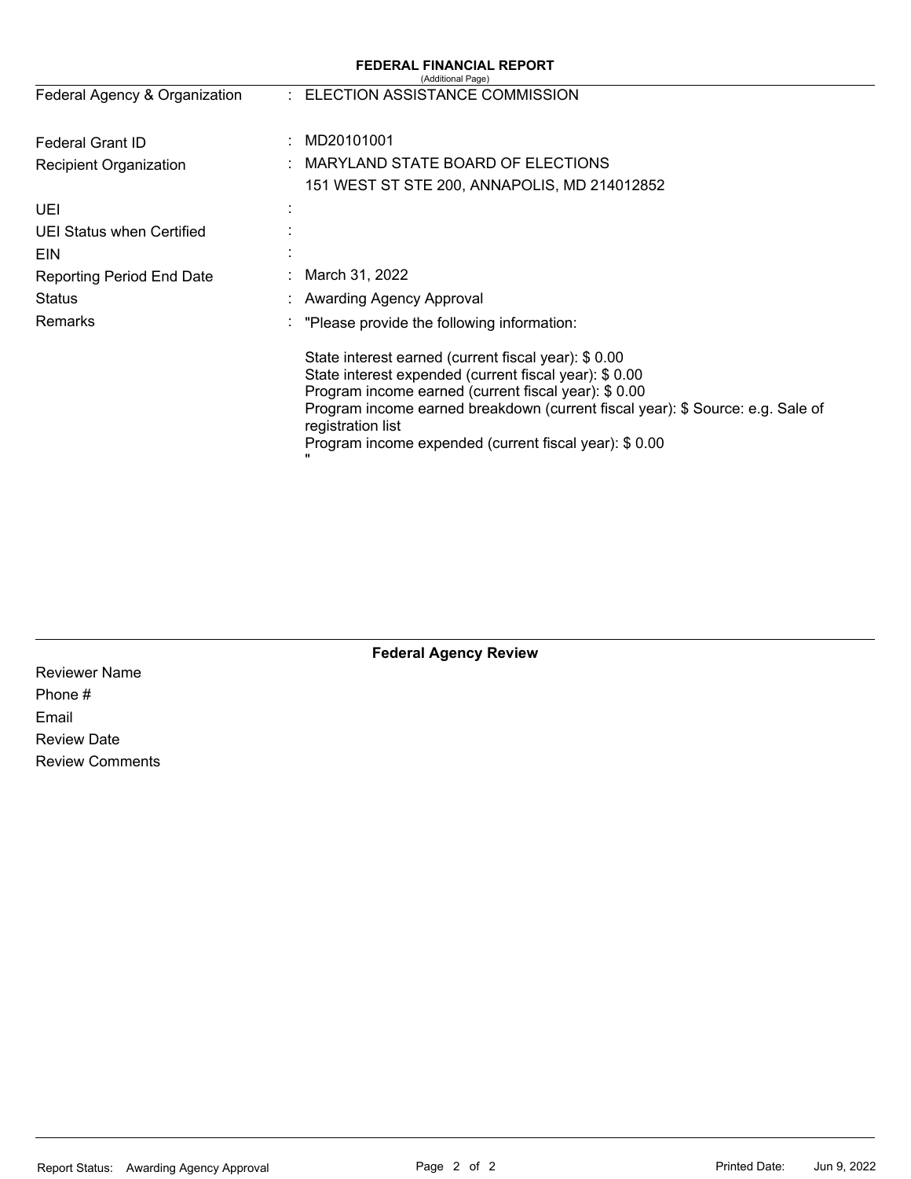| <b>FEDERAL FINANCIAL REPORT</b><br>(Additional Page) |                                                                                                                                                                                                                                                                                                                                        |  |  |  |  |
|------------------------------------------------------|----------------------------------------------------------------------------------------------------------------------------------------------------------------------------------------------------------------------------------------------------------------------------------------------------------------------------------------|--|--|--|--|
| Federal Agency & Organization                        | : ELECTION ASSISTANCE COMMISSION                                                                                                                                                                                                                                                                                                       |  |  |  |  |
| Federal Grant ID<br>÷                                | MD20101001                                                                                                                                                                                                                                                                                                                             |  |  |  |  |
| <b>Recipient Organization</b>                        | MARYLAND STATE BOARD OF ELECTIONS                                                                                                                                                                                                                                                                                                      |  |  |  |  |
|                                                      | 151 WEST ST STE 200, ANNAPOLIS, MD 214012852                                                                                                                                                                                                                                                                                           |  |  |  |  |
| UEI                                                  |                                                                                                                                                                                                                                                                                                                                        |  |  |  |  |
| UEI Status when Certified                            |                                                                                                                                                                                                                                                                                                                                        |  |  |  |  |
| <b>EIN</b>                                           |                                                                                                                                                                                                                                                                                                                                        |  |  |  |  |
| <b>Reporting Period End Date</b>                     | March 31, 2022                                                                                                                                                                                                                                                                                                                         |  |  |  |  |
| <b>Status</b>                                        | <b>Awarding Agency Approval</b>                                                                                                                                                                                                                                                                                                        |  |  |  |  |
| <b>Remarks</b><br>×.                                 | "Please provide the following information:                                                                                                                                                                                                                                                                                             |  |  |  |  |
|                                                      | State interest earned (current fiscal year): \$ 0.00<br>State interest expended (current fiscal year): \$0.00<br>Program income earned (current fiscal year): \$ 0.00<br>Program income earned breakdown (current fiscal year): \$ Source: e.g. Sale of<br>registration list<br>Program income expended (current fiscal year): \$ 0.00 |  |  |  |  |

|  | <b>Federal Agency Review</b> |  |
|--|------------------------------|--|
|--|------------------------------|--|

Reviewer Name Phone # Email Review Date Review Comments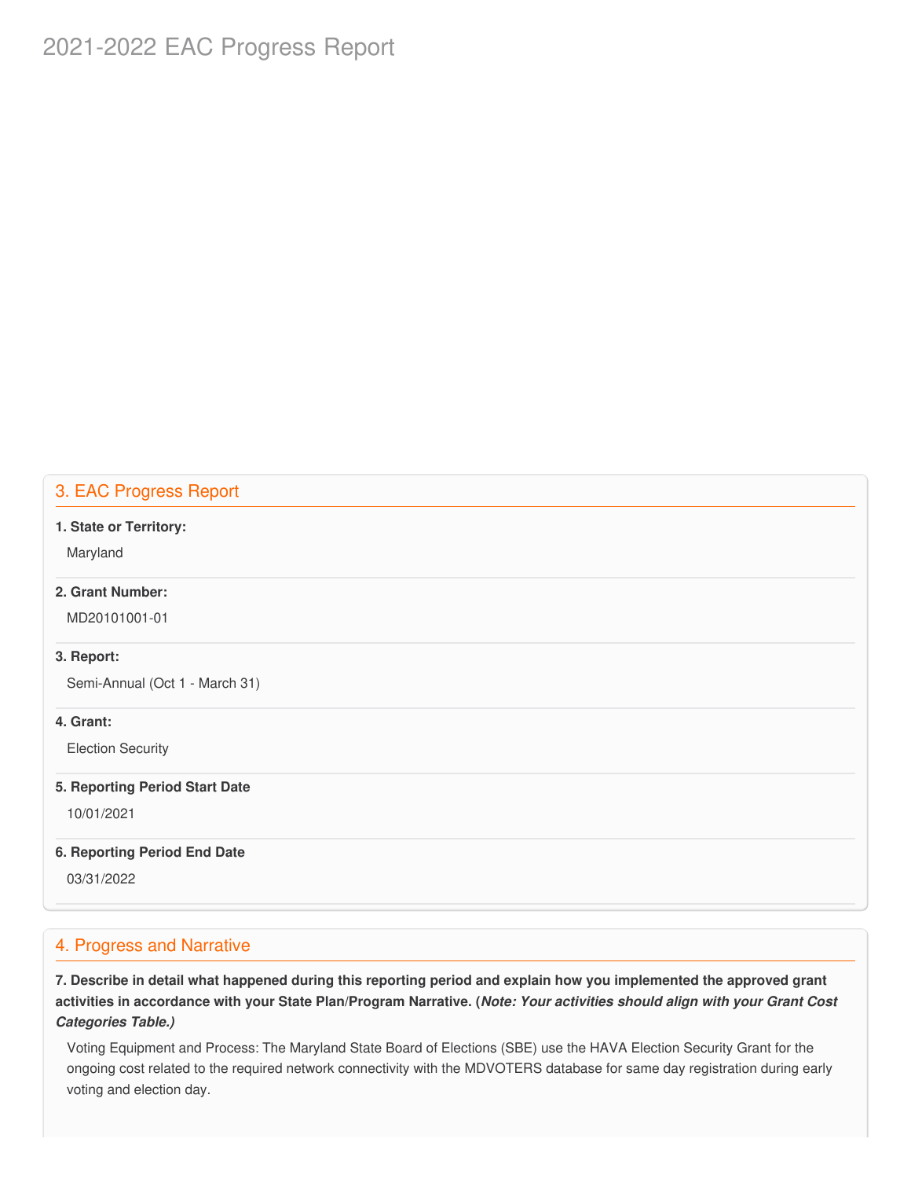# 2021-2022 EAC Progress Report

## 3. EAC Progress Report

#### **1. State or Territory:**

Maryland

## **2. Grant Number:**

MD20101001-01

#### **3. Report:**

Semi-Annual (Oct 1 - March 31)

### **4. Grant:**

Election Security

#### **5. Reporting Period Start Date**

10/01/2021

### **6. Reporting Period End Date**

03/31/2022

## 4. Progress and Narrative

7. Describe in detail what happened during this reporting period and explain how you implemented the approved grant activities in accordance with your State Plan/Program Narrative. (*Note: Your activities should align with your Grant Cost Categories Table.)*

 Voting Equipment and Process: The Maryland State Board of Elections (SBE) use the HAVA Election Security Grant for the ongoing cost related to the required network connectivity with the MDVOTERS database for same day registration during early voting and election day.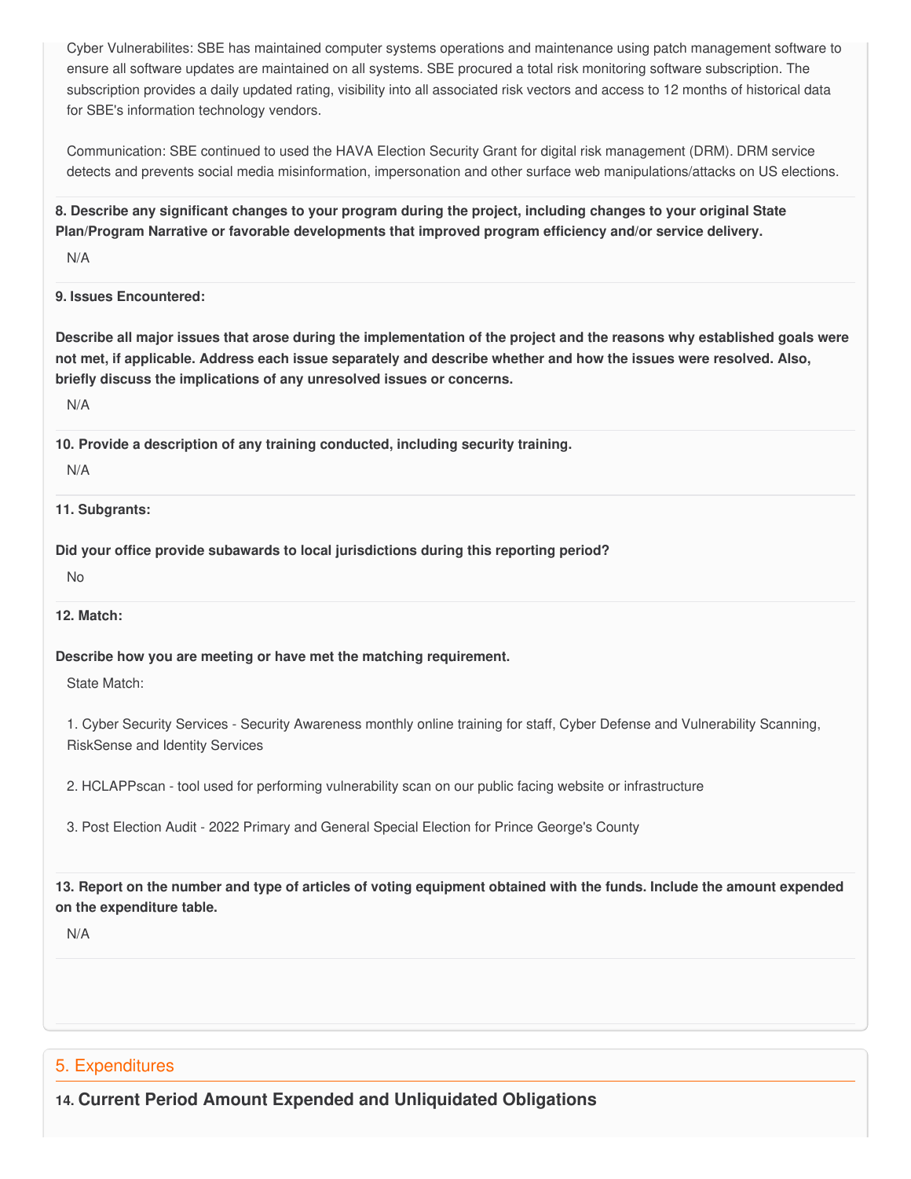Cyber Vulnerabilites: SBE has maintained computer systems operations and maintenance using patch management software to ensure all software updates are maintained on all systems. SBE procured a total risk monitoring software subscription. The subscription provides a daily updated rating, visibility into all associated risk vectors and access to 12 months of historical data for SBE's information technology vendors.

 Communication: SBE continued to used the HAVA Election Security Grant for digital risk management (DRM). DRM service detects and prevents social media misinformation, impersonation and other surface web manipulations/attacks on US elections.

8. Describe any significant changes to your program during the project, including changes to your original State  **Plan/Program Narrative or favorable developments that improved program efficiency and/or service delivery.**

N/A

### **9. Issues Encountered:**

Describe all major issues that arose during the implementation of the project and the reasons why established goals were not met, if applicable. Address each issue separately and describe whether and how the issues were resolved. Also,  **briefly discuss the implications of any unresolved issues or concerns.**

N/A

 **10. Provide a description of any training conducted, including security training.**

#### N/A

**11. Subgrants:**

 **Did your office provide subawards to local jurisdictions during this reporting period?**

No

**12. Match:**

 **Describe how you are meeting or have met the matching requirement.**

State Match:

 1. Cyber Security Services - Security Awareness monthly online training for staff, Cyber Defense and Vulnerability Scanning, RiskSense and Identity Services

2. HCLAPPscan - tool used for performing vulnerability scan on our public facing website or infrastructure

3. Post Election Audit - 2022 Primary and General Special Election for Prince George's County

13. Report on the number and type of articles of voting equipment obtained with the funds. Include the amount expended  **on the expenditure table.**

N/A

## 5. Expenditures

 **14. Current Period Amount Expended and Unliquidated Obligations**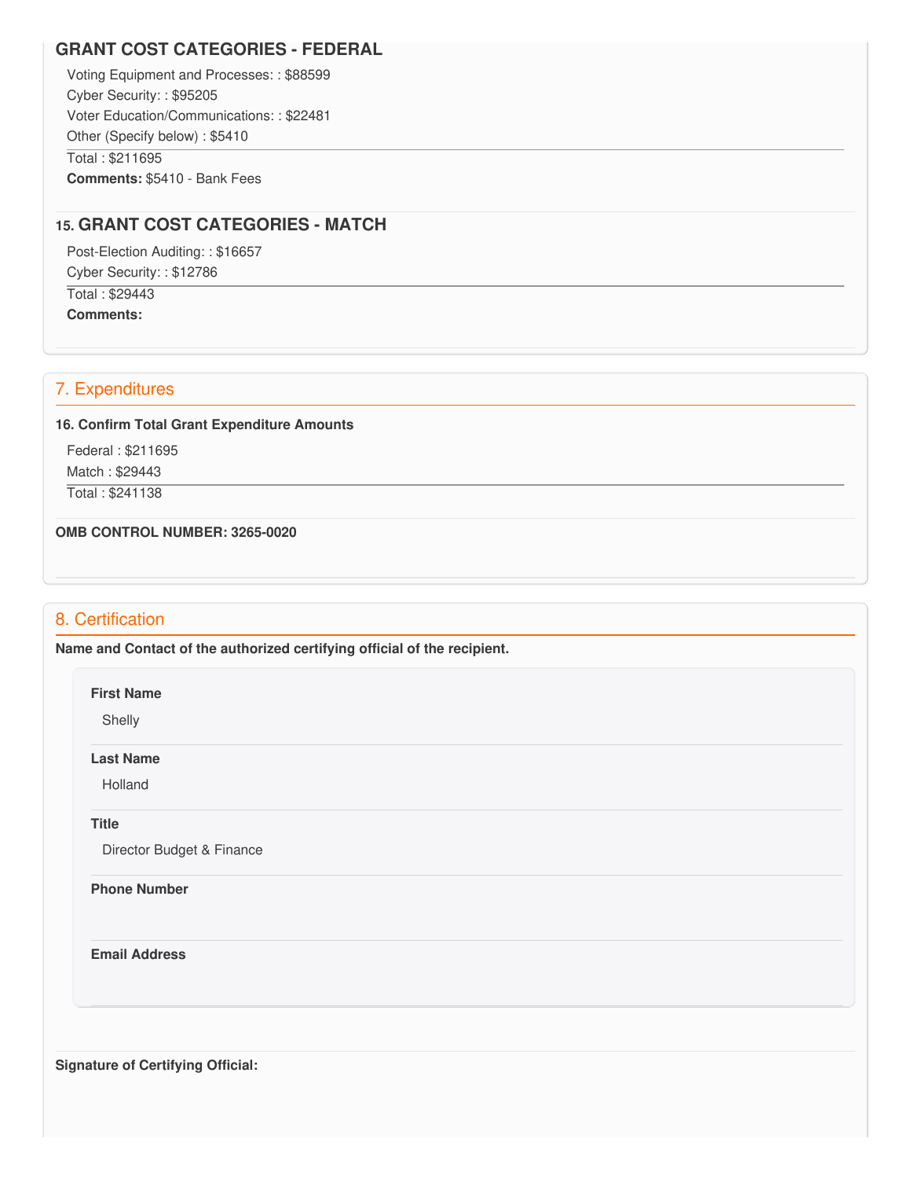## **GRANT COST CATEGORIES - FEDERAL**

 Voting Equipment and Processes: : \$88599 Cyber Security: : \$95205 Voter Education/Communications: : \$22481 Other (Specify below) : \$5410 Total : \$211695 **Comments:** \$5410 - Bank Fees

## **15. GRANT COST CATEGORIES - MATCH**

 Post-Election Auditing: : \$16657 Cyber Security: : \$12786 Total : \$29443

**Comments:**

## 7. Expenditures

#### **16. Confirm Total Grant Expenditure Amounts**

Federal : \$211695

Match : \$29443

Total : \$241138

 **OMB CONTROL NUMBER: 3265-0020**

## 8. Certification

 **Name and Contact of the authorized certifying official of the recipient.**

**First Name**

Shelly

#### **Last Name**

Holland

### **Title**

Director Budget & Finance

#### **Phone Number**

**Email Address**

 **Signature of Certifying Official:**